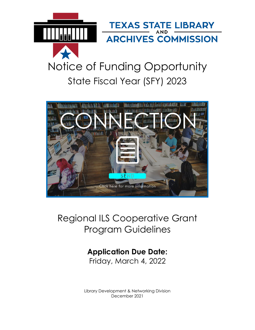

# Notice of Funding Opportunity State Fiscal Year (SFY) 2023



# Regional ILS Cooperative Grant Program Guidelines

# **Application Due Date:**

Friday, March 4, 2022

Library Development & Networking Division December 2021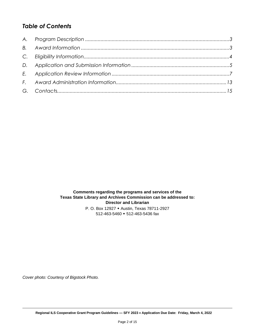# *Table of Contents*

**Comments regarding the programs and services of the Texas State Library and Archives Commission can be addressed to: Director and Librarian** P. O. Box 12927 Austin, Texas 78711-2927 512-463-5460 512-463-5436 fax

*Cover photo: Courtesy of Bigstock Photo.*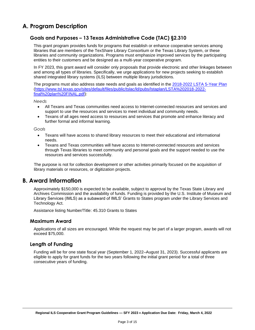# <span id="page-2-0"></span>**A. Program Description**

## **Goals and Purposes – 13 Texas Administrative Code (TAC) §2.310**

This grant program provides funds for programs that establish or enhance cooperative services among libraries that are members of the TexShare Library Consortium or the Texas Library System, or these libraries and community organizations. Programs must emphasize improved services by the participating entities to their customers and be designed as a multi-year cooperative program.

In FY 2023, this grant award will consider only proposals that provide electronic and other linkages between and among all types of libraries. Specifically, we urge applications for new projects seeking to establish shared integrated library systems (ILS) between multiple library jurisdictions.

The programs must also address state needs and goals as identified in the [2018-2022 LSTA 5-Year](https://www.tsl.texas.gov/sites/default/files/public/tslac/ld/pubs/lstaplan/LSTA%202018-2022-final%20plan%20FINAL.pdf) Plan [\(https://www.tsl.texas.gov/sites/default/files/public/tslac/ld/pubs/lstaplan/LSTA%202018-2022](https://www.tsl.texas.gov/sites/default/files/public/tslac/ld/pubs/lstaplan/LSTA%202018-2022-final%20plan%20FINAL.pdf) [final%20plan%20FINAL.pdf\)](https://www.tsl.texas.gov/sites/default/files/public/tslac/ld/pubs/lstaplan/LSTA%202018-2022-final%20plan%20FINAL.pdf):

*Needs*

- All Texans and Texas communities need access to Internet-connected resources and services and support to use the resources and services to meet individual and community needs.
- Texans of all ages need access to resources and services that promote and enhance literacy and further formal and informal learning.

*Goals*

- Texans will have access to shared library resources to meet their educational and informational needs.
- Texans and Texas communities will have access to Internet-connected resources and services through Texas libraries to meet community and personal goals and the support needed to use the resources and services successfully.

The purpose is not for collection development or other activities primarily focused on the acquisition of library materials or resources, or digitization projects.

# <span id="page-2-1"></span>**B. Award Information**

Approximately \$150,000 is expected to be available, subject to approval by the Texas State Library and Archives Commission and the availability of funds. Funding is provided by the U.S. Institute of Museum and Library Services (IMLS) as a subaward of IMLS' Grants to States program under the Library Services and Technology Act.

Assistance listing Number/Title: 45.310 Grants to States

#### **Maximum Award**

Applications of all sizes are encouraged. While the request may be part of a larger program, awards will not exceed \$75,000.

#### **Length of Funding**

Funding will be for one state fiscal year (September 1, 2022–August 31, 2023). Successful applicants are eligible to apply for grant funds for the two years following the initial grant period for a total of three consecutive years of funding.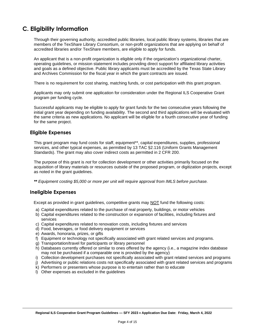# <span id="page-3-0"></span>**C. Eligibility Information**

Through their governing authority, accredited public libraries, local public library systems, libraries that are members of the TexShare Library Consortium, or non-profit organizations that are applying on behalf of accredited libraries and/or TexShare members, are eligible to apply for funds.

An applicant that is a non-profit organization is eligible only if the organization's organizational charter, operating guidelines, or mission statement includes providing direct support for affiliated library activities and goals as a defined objective. Public library applicants must be accredited by the Texas State Library and Archives Commission for the fiscal year in which the grant contracts are issued.

There is no requirement for cost sharing, matching funds, or cost participation with this grant program.

Applicants may only submit one application for consideration under the Regional ILS Cooperative Grant program per funding cycle.

Successful applicants may be eligible to apply for grant funds for the two consecutive years following the initial grant year depending on funding availability. The second and third applications will be evaluated with the same criteria as new applications. No applicant will be eligible for a fourth consecutive year of funding for the same project.

#### **Eligible Expenses**

This grant program may fund costs for staff, equipment\*\*, capital expenditures, supplies, professional services, and other typical expenses, as permitted by 13 TAC §2.116 (Uniform Grants Management Standards). The grant may also cover indirect costs as permitted in 2 CFR 200.

The purpose of this grant is *not* for collection development or other activities primarily focused on the acquisition of library materials or resources outside of the proposed program, or digitization projects, except as noted in the grant guidelines.

*\*\* Equipment costing \$5,000 or more per unit will require approval from IMLS before purchase.*

#### **Ineligible Expenses**

Except as provided in grant guidelines, competitive grants may NOT fund the following costs:

- a) Capital expenditures related to the purchase of real property, buildings, or motor vehicles
- b) Capital expenditures related to the construction or expansion of facilities, including fixtures and services
- c) Capital expenditures related to renovation costs, including fixtures and services
- d) Food, beverages, or food delivery equipment or services
- e) Awards, honoraria, prizes, or gifts
- f) Equipment or technology not specifically associated with grant related services and programs.
- g) Transportation/travel for participants or library personnel
- h) Databases currently offered or similar to ones offered by the agency (i.e., a magazine index database may not be purchased if a comparable one is provided by the agency)
- i) Collection development purchases not specifically associated with grant related services and programs
- j) Advertising or public relations costs not specifically associated with grant related services and programs
- k) Performers or presenters whose purpose is to entertain rather than to educate
- l) Other expenses as excluded in the guidelines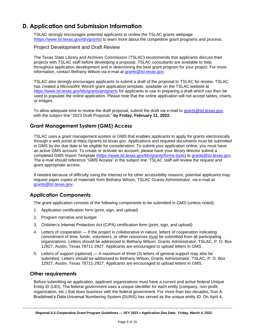# <span id="page-4-0"></span>**D. Application and Submission Information**

TSLAC strongly encourages potential applicants to review the TSLAC grants webpage [\(https://www.tsl.texas.gov/ldn/grants\)](https://www.tsl.texas.gov/ldn/grants) to learn more about the competitive grant programs and process.

#### Project Development and Draft Review

The Texas State Library and Archives Commission (TSLAC) recommends that applicants discuss their projects with TSLAC staff before developing a proposal. TSLAC consultants are available to help throughout application development and in determining the best grant program for your project. For more information, contact Bethany Wilson via e-mail at [grants@tsl.texas.gov.](file:///C:/Users/emccormick/AppData/Local/Microsoft/Windows/INetCache/2018/Guidelines%20-%20NOFOs/grants@tsl.texas.gov)

TSLAC also strongly encourages applicants to submit a draft of the proposal to TSLAC for review. TSLAC has created a Microsoft® Word® grant application template, available on the TSLAC website at <https://www.tsl.texas.gov/ldn/grants/programs> for applicants to use in preparing a draft which can then be used to populate the online application. Please note that the online application will not accept tables, charts, or images.

To allow adequate time to review the draft proposal, submit the draft via e-mail to [grants@tsl.texas.gov,](mailto:grants@tsl.texas.gov) with the subject line "2023 Draft Proposal," **by Friday, February 11, 2022.**

# **Grant Management System (GMS) Access**

TSLAC uses a grant management system or GMS that enables applicants to apply for grants electronically through a web portal at https://grants.tsl.texas.gov. Applications and required documents must be submitted in GMS by the due date to be eligible for consideration. To submit your application online, you must have an active GMS account. To create or activate an account, please have your library director submit a completed GMS Import Template [\(https://www.tsl.texas.gov/ldn/grants/forms-tools\)](https://www.tsl.texas.gov/ldn/grants/forms-tools) to [grants@tsl.texas.gov.](file:///C:/Users/emccormick/AppData/Local/Microsoft/Windows/INetCache/Content.Outlook/X485HRKX/grants@tsl.texas.gov) The e-mail should reference "GMS Access" in the subject line. TSLAC staff will review the request and grant appropriate access.

If needed because of difficulty using the Internet or for other accessibility reasons, potential applicants may request paper copies of materials from Bethany Wilson, TSLAC Grants Administrator, via e-mail at [grants@tsl.texas.gov.](file:///C:/Users/emccormick/AppData/Local/Microsoft/Windows/INetCache/2018/Guidelines%20-%20NOFOs/grants@tsl.texas.gov)

## **Application Components**

The grant application consists of the following components to be submitted in GMS (unless noted):

- 1. Application certification form (print, sign, and upload)
- 2. Program narrative and budget
- 3. Children's Internet Protection Act (CIPA) certification form (print, sign, and upload)
- 4. Letters of cooperation If the project is collaborative in nature, letters of cooperation indicating commitment of time, funds, volunteers, or other resources must be submitted from all participating organizations. Letters should be addressed to Bethany Wilson, Grants Administrator, TSLAC, P. O. Box 12927, Austin, Texas 78711-2927. Applicants are encouraged to upload letters in GMS.
- 5. Letters of support (optional) A maximum of three (3) letters of general support may also be submitted. Letters should be addressed to Bethany Wilson, Grants Administrator, TSLAC, P. O. Box 12927, Austin, Texas 78711-2927. Applicants are encouraged to upload letters in GMS.

#### **Other requirements**

Before submitting an application, applicant organizations must have a current and active federal Unique Entity ID (UEI). The federal government uses a unique identifier for each entity (company, non-profit, organization, etc.) that does business with the federal government. For more than two decades, Dun & Bradstreet's Data Universal Numbering System (DUNS) has served as the unique entity ID. On April 4,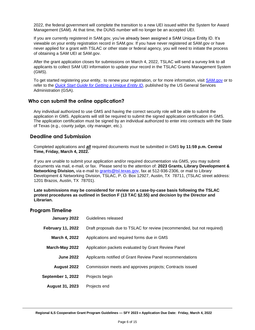2022, the federal government will complete the transition to a new UEI issued within the System for Award Management (SAM). At that time, the DUNS number will no longer be an accepted UEI.

If you are currently registered in SAM.gov, you've already been assigned a SAM Unique Entity ID. It's viewable on your entity registration record in SAM.gov. If you have never registered at SAM.gov or have never applied for a grant with TSLAC or other state or federal agency, you will need to initiate the process of obtaining a SAM UEI at SAM.gov.

After the grant application closes for submissions on March 4, 2022, TSLAC will send a survey link to all applicants to collect SAM UEI information to update your record in the TSLAC Grants Management System (GMS).

To get started registering your entity, to renew your registration, or for more information, visit [SAM.gov](https://sam.gov/content/home) or to refer to the *[Quick Start Guide for Getting a Unique Entity ID](https://www.msac.org/media/570/download?inline)*, published by the US General Services Administration (GSA).

### **Who can submit the online application?**

Any individual authorized to use GMS and having the correct security role will be able to submit the application in GMS. Applicants will still be required to submit the signed application certification in GMS. The application certification must be signed by an individual authorized to enter into contracts with the State of Texas (e.g., county judge, city manager, etc.).

### **Deadline and Submission**

Completed applications and *all* required documents must be submitted in GMS **by 11:59 p.m. Central Time, Friday, March 4, 2022.**

If you are unable to submit your application and/or required documentation via GMS, you may submit documents via mail, e-mail, or fax. Please send to the attention of: **2023 Grants, Library Development & Networking Division,** via e-mail to [grants@tsl.texas.gov,](mailto:grants@tsl.texas.gov) fax at 512-936-2306, or mail to Library Development & Networking Division, TSLAC, P. O. Box 12927, Austin, TX 78711, (TSLAC street address: 1201 Brazos, Austin, TX 78701).

**Late submissions may be considered for review on a case-by-case basis following the TSLAC protest procedures as outlined in Section F (13 TAC §2.55) and decision by the Director and Librarian.**

#### **Program Timeline**

| January 2022             | Guidelines released                                                     |
|--------------------------|-------------------------------------------------------------------------|
| <b>February 11, 2022</b> | Draft proposals due to TSLAC for review (recommended, but not required) |
| March 4, 2022            | Applications and required forms due in GMS                              |
| March-May 2022           | Application packets evaluated by Grant Review Panel                     |
| <b>June 2022</b>         | Applicants notified of Grant Review Panel recommendations               |
| August 2022              | Commission meets and approves projects; Contracts issued                |
| September 1, 2022        | Projects begin                                                          |
| <b>August 31, 2023</b>   | Projects end                                                            |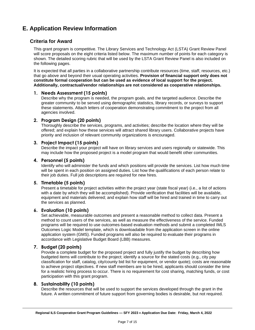# **E. Application Review Information**

## **Criteria for Award**

This grant program is competitive. The Library Services and Technology Act (LSTA) Grant Review Panel will score proposals on the eight criteria listed below. The maximum number of points for each category is shown. The detailed scoring rubric that will be used by the LSTA Grant Review Panel is also included on the following pages.

It is expected that all parties in a collaborative partnership contribute resources (time, staff, resources, etc.) that go above and beyond their usual operating activities. **Provision of financial support only does not constitute formal cooperation but can be used as evidence of local support for the project. Additionally, contractual/vendor relationships are not considered as cooperative relationships.**

#### **1. Needs Assessment (15 points)**

Describe why the program is needed, the program goals, and the targeted audience. Describe the greater community to be served using demographic statistics, library records, or surveys to support these statements. Attach letters of cooperation demonstrating commitment to the project from all agencies involved.

#### **2. Program Design (20 points)**

Thoroughly describe the services, programs, and activities; describe the location where they will be offered; and explain how these services will attract shared library users. Collaborative projects have priority and inclusion of relevant community organizations is encouraged.

#### **3. Project Impact (15 points)**

Describe the impact your project will have on library services and users regionally or statewide. This may include how the proposed project is a model program that would benefit other communities.

#### **4. Personnel (5 points)**

Identify who will administer the funds and which positions will provide the services. List how much time will be spent in each position on assigned duties. List how the qualifications of each person relate to their job duties. Full job descriptions are required for new hires.

#### **5. Timetable (5 points)**

Present a timetable for project activities within the project year (state fiscal year) (i.e., a list of actions with a date by which they will be accomplished). Provide verification that facilities will be available, equipment and materials delivered; and explain how staff will be hired and trained in time to carry out the services as planned.

#### **6. Evaluation (10 points)**

Set achievable, measurable outcomes and present a reasonable method to collect data. Present a method to count users of the services, as well as measure the effectiveness of the service. Funded programs will be required to use outcomes-based evaluation methods and submit a completed IMLS Outcomes Logic Model template, which is downloadable from the application screen in the online application system (GMS). Funded programs will also be required to evaluate their programs in accordance with Legislative Budget Board (LBB) measures.

#### **7. Budget (20 points)**

Provide a complete budget for the proposed project and fully justify the budget by describing how budgeted items will contribute to the project; identify a source for the stated costs (e.g., city pay classification for staff, catalog, city/county bid list for equipment, or vendor quote); costs are reasonable to achieve project objectives. If new staff members are to be hired, applicants should consider the time for a realistic hiring process to occur. There is no requirement for cost sharing, matching funds, or cost participation with this grant program.

#### **8. Sustainability (10 points)**

Describe the resources that will be used to support the services developed through the grant in the future. A written commitment of future support from governing bodies is desirable, but not required.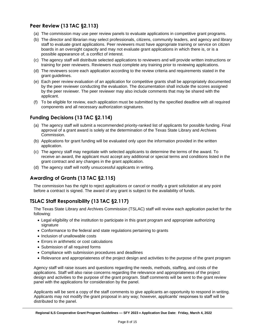# **Peer Review (13 TAC §2.113)**

- (a) The commission may use peer review panels to evaluate applications in competitive grant programs.
- (b) The director and librarian may select professionals, citizens, community leaders, and agency and library staff to evaluate grant applications. Peer reviewers must have appropriate training or service on citizen boards in an oversight capacity and may not evaluate grant applications in which there is, or is a possible appearance of, a conflict of interest.
- (c) The agency staff will distribute selected applications to reviewers and will provide written instructions or training for peer reviewers. Reviewers must complete any training prior to reviewing applications.
- (d) The reviewers score each application according to the review criteria and requirements stated in the grant guidelines.
- (e) Each peer review evaluation of an application for competitive grants shall be appropriately documented by the peer reviewer conducting the evaluation. The documentation shall include the scores assigned by the peer reviewer. The peer reviewer may also include comments that may be shared with the applicant.
- (f) To be eligible for review, each application must be submitted by the specified deadline with all required components and all necessary authorization signatures.

# **Funding Decisions (13 TAC §2.114)**

- (a) The agency staff will submit a recommended priority-ranked list of applicants for possible funding. Final approval of a grant award is solely at the determination of the Texas State Library and Archives Commission.
- (b) Applications for grant funding will be evaluated only upon the information provided in the written application.
- (c) The agency staff may negotiate with selected applicants to determine the terms of the award. To receive an award, the applicant must accept any additional or special terms and conditions listed in the grant contract and any changes in the grant application.
- (d) The agency staff will notify unsuccessful applicants in writing.

# **Awarding of Grants (13 TAC §2.115)**

The commission has the right to reject applications or cancel or modify a grant solicitation at any point before a contract is signed. The award of any grant is subject to the availability of funds.

# **TSLAC Staff Responsibility (13 TAC §2.117)**

The Texas State Library and Archives Commission (TSLAC) staff will review each application packet for the following:

- Legal eligibility of the institution to participate in this grant program and appropriate authorizing signature
- Conformance to the federal and state regulations pertaining to grants
- Inclusion of unallowable costs
- Errors in arithmetic or cost calculations
- Submission of all required forms
- Compliance with submission procedures and deadlines
- Relevance and appropriateness of the project design and activities to the purpose of the grant program

Agency staff will raise issues and questions regarding the needs, methods, staffing, and costs of the applications. Staff will also raise concerns regarding the relevance and appropriateness of the project design and activities to the purpose of the grant program. Staff comments will be sent to the grant review panel with the applications for consideration by the panel.

Applicants will be sent a copy of the staff comments to give applicants an opportunity to respond in writing. Applicants may not modify the grant proposal in any way; however, applicants' responses to staff will be distributed to the panel.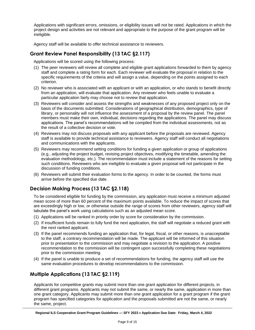Applications with significant errors, omissions, or eligibility issues will not be rated. Applications in which the project design and activities are not relevant and appropriate to the purpose of the grant program will be ineligible.

Agency staff will be available to offer technical assistance to reviewers.

## **Grant Review Panel Responsibility (13 TAC §2.117)**

Applications will be scored using the following process:

- (1) The peer reviewers will review all complete and eligible grant applications forwarded to them by agency staff and complete a rating form for each. Each reviewer will evaluate the proposal in relation to the specific requirements of the criteria and will assign a value, depending on the points assigned to each criterion.
- (2) No reviewer who is associated with an applicant or with an application, or who stands to benefit directly from an application, will evaluate that application. Any reviewer who feels unable to evaluate a particular application fairly may choose not to review that application.
- (3) Reviewers will consider and assess the strengths and weaknesses of any proposed project only on the basis of the documents submitted. Considerations of geographical distribution, demographics, type of library, or personality will not influence the assessment of a proposal by the review panel. The panel members must make their own, individual, decisions regarding the applications. The panel may discuss applications. The panel's recommendations will be compiled from the individual assessments, not as the result of a collective decision or vote.
- (4) Reviewers may not discuss proposals with any applicant before the proposals are reviewed. Agency staff is available to provide technical assistance to reviewers. Agency staff will conduct all negotiations and communications with the applicants.
- (5) Reviewers may recommend setting conditions for funding a given application or group of applications (e.g., adjusting the project budget, revising project objectives, modifying the timetable, amending the evaluation methodology, etc.). The recommendation must include a statement of the reasons for setting such conditions. Reviewers who are ineligible to evaluate a given proposal will not participate in the discussion of funding conditions.
- (6) Reviewers will submit their evaluation forms to the agency. In order to be counted, the forms must arrive before the specified due date.

# **Decision Making Process (13 TAC §2.118)**

To be considered eligible for funding by the commission, any application must receive a minimum adjusted mean score of more than 60 percent of the maximum points available. To reduce the impact of scores that are exceedingly high or low, or otherwise outside the range of scores from other reviewers, agency staff will tabulate the panel's work using calculations such as an adjusted mean score.

- (1) Applications will be ranked in priority order by score for consideration by the commission.
- (2) If insufficient funds remain to fully fund the next application, the staff will negotiate a reduced grant with the next ranked applicant.
- (3) If the panel recommends funding an application that, for legal, fiscal, or other reasons, is unacceptable to the staff, a contrary recommendation will be made. The applicant will be informed of this situation prior to presentation to the commission and may negotiate a revision to the application. A positive recommendation to the commission will be contingent upon successfully completing these negotiations prior to the commission meeting.
- (4) If the panel is unable to produce a set of recommendations for funding, the agency staff will use the same evaluation procedures to develop recommendations to the commission.

# **Multiple Applications (13 TAC §2.119)**

Applicants for competitive grants may submit more than one grant application for different projects, in different grant programs. Applicants may not submit the same, or nearly the same, application in more than one grant category. Applicants may submit more than one grant application for a grant program if the grant program has specified categories for application and the proposals submitted are not the same, or nearly the same, project.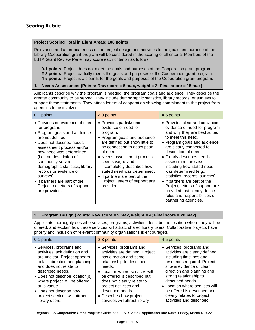#### **Project Scoring Total in Eight Areas: 100 points**

Relevance and appropriateness of the project design and activities to the goals and purpose of the Library Cooperation grant program will be considered in the scoring of all criteria. Members of the LSTA Grant Review Panel may score each criterion as follows:

**0-1 points:** Project does not meet the goals and purposes of the Cooperation grant program. **2-3 points:** Project partially meets the goals and purposes of the Cooperation grant program. **4-5 points:** Project is a clear fit for the goals and purposes of the Cooperation grant program.

#### **1. Needs Assessment (Points: Raw score = 5 max, weight = 3; Final score = 15 max)**

Applicants describe why the program is needed, the program goals and audience. They describe the greater community to be served. They include demographic statistics, library records, or surveys to support these statements. They attach letters of cooperation showing commitment to the project from agencies to be involved.

| 0-1 points                                                                                                                                                                                                                                                                                                                                                                                             | 2-3 points                                                                                                                                                                                                                                                                                                                                                               | 4-5 points                                                                                                                                                                                                                                                                                                                                                                                                                                                                                                        |
|--------------------------------------------------------------------------------------------------------------------------------------------------------------------------------------------------------------------------------------------------------------------------------------------------------------------------------------------------------------------------------------------------------|--------------------------------------------------------------------------------------------------------------------------------------------------------------------------------------------------------------------------------------------------------------------------------------------------------------------------------------------------------------------------|-------------------------------------------------------------------------------------------------------------------------------------------------------------------------------------------------------------------------------------------------------------------------------------------------------------------------------------------------------------------------------------------------------------------------------------------------------------------------------------------------------------------|
| • Provides no evidence of need<br>for program.<br>• Program goals and audience<br>are not defined.<br>• Does not describe needs<br>assessment process and/or<br>how need was determined<br>(i.e., no description of<br>community served,<br>demographic statistics, library<br>records or evidence or<br>surveys).<br>• If partners are part of the<br>Project, no letters of support<br>are provided. | • Provides partial/some<br>evidence of need for<br>program.<br>• Program goals and audience<br>are defined but show little to<br>no connection to description<br>of need.<br>• Needs assessment process<br>seems vague and<br>incompletely describes how<br>stated need was determined.<br>• If partners are part of the<br>Project, letters of support are<br>provided. | • Provides clear and convincing<br>evidence of need for program<br>and why they are best suited<br>to meet this need.<br>• Program goals and audience<br>are clearly connected to<br>description of need.<br>• Clearly describes needs<br>assessment process<br>including how stated need<br>was determined (e.g.,<br>statistics, records, surveys).<br>• If partners are part of the<br>Project, letters of support are<br>provided that clearly define<br>roles and responsibilities of<br>partnering agencies. |

#### **2. Program Design (Points: Raw score = 5 max, weight = 4; Final score = 20 max)**

Applicants thoroughly describe services, programs, activities; describe the location where they will be offered; and explain how these services will attract shared library users. Collaborative projects have priority and inclusion of relevant community organizations is encouraged.

| 0-1 points                      | 2-3 points                      | 4-5 points                      |
|---------------------------------|---------------------------------|---------------------------------|
| • Services, programs and        | • Services, programs and        | • Services, programs and        |
| activities lack definition and  | activities are defined. Project | activities are clearly defined, |
| are unclear. Project appears    | has direction and some          | including timelines and         |
| to lack direction and planning  | relationship to described       | resources required. Project     |
| and does not relate to          | needs.                          | shows evidence of clear         |
| described needs.                | • Location where services will  | direction and planning and      |
| • Does not describe location(s) | be offered is described but     | strong relationship to          |
| where project will be offered   | does not clearly relate to      | described needs.                |
| or is vague.                    | project activities and          | • Location where services will  |
| • Does not describe how         | described needs.                | be offered is described and     |
| project services will attract   | • Describes how project         | clearly relates to project      |
| library users.                  | services will attract library   | activities and described        |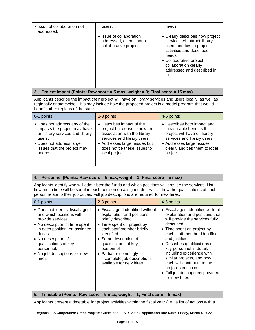| • Issue of collaboration not<br>addressed. | users.                                                                         | needs.                                                                                                                                                                                                                          |
|--------------------------------------------|--------------------------------------------------------------------------------|---------------------------------------------------------------------------------------------------------------------------------------------------------------------------------------------------------------------------------|
|                                            | • Issue of collaboration<br>addressed, even if not a<br>collaborative project. | • Clearly describes how project<br>services will attract library<br>users and ties to project<br>activities and described<br>needs.<br>• Collaborative project;<br>collaboration clearly<br>addressed and described in<br>full. |

#### **3. Project Impact (Points: Raw score = 5 max, weight = 3; Final score = 15 max)**

Applicants describe the impact their project will have on library services and users locally, as well as regionally or statewide. This may include how the proposed project is a model program that would benefit other regions of the state.

| $\overline{0}$ -1 points        | 2-3 points                    | 4-5 points                     |
|---------------------------------|-------------------------------|--------------------------------|
| • Does not address any of the   | • Describes impact of the     | • Describes both impact and    |
| impacts the project may have    | project but doesn't show an   | measurable benefits the        |
| on library services and library | association with the library  | project will have on library   |
| users.                          | services and library users.   | services and library users.    |
| • Does not address larger       | • Addresses larger issues but | • Addresses larger issues      |
| issues that the project may     | does not tie these issues to  | clearly and ties them to local |
| address.                        | local project.                | project.                       |

| 4. Personnel (Points: Raw score = 5 max, weight = 1; Final score = 5 max)                                                                                                                                                                                                                             |            |            |
|-------------------------------------------------------------------------------------------------------------------------------------------------------------------------------------------------------------------------------------------------------------------------------------------------------|------------|------------|
| Applicants identify who will administer the funds and which positions will provide the services. List<br>how much time will be spent in each position on assigned duties. List how the qualifications of each<br>person relate to their job duties. Full job descriptions are required for new hires. |            |            |
| 0-1 points                                                                                                                                                                                                                                                                                            | 2-3 points | 4-5 points |

| U-T POINS                                                                                                                                                                                                                                                               | 2-3 POINS                                                                                                                                                                                                                                                                                                           | 4-5 POINS                                                                                                                                                                                                                                                                                                                                                                                                                                |  |
|-------------------------------------------------------------------------------------------------------------------------------------------------------------------------------------------------------------------------------------------------------------------------|---------------------------------------------------------------------------------------------------------------------------------------------------------------------------------------------------------------------------------------------------------------------------------------------------------------------|------------------------------------------------------------------------------------------------------------------------------------------------------------------------------------------------------------------------------------------------------------------------------------------------------------------------------------------------------------------------------------------------------------------------------------------|--|
| • Does not identify fiscal agent<br>and which positions will<br>provide services.<br>• No description of time spent<br>in each position. on assigned<br>duties<br>• No description of<br>qualifications of key<br>personnel.<br>• No job descriptions for new<br>hires. | • Fiscal agent identified without<br>explanation and positions<br>briefly described.<br>• Time spent on project by<br>each staff member briefly<br>identified.<br>• Some description of<br>qualifications of key<br>personnel.<br>• Partial or seemingly<br>incomplete job descriptions<br>available for new hires. | • Fiscal agent identified with full<br>explanation and positions that<br>will provide the services fully<br>described.<br>• Time spent on project by<br>each staff member identified<br>and justified.<br>• Describes qualifications of<br>key personnel in detail,<br>including experience with<br>similar projects, and how<br>each will contribute to the<br>project's success.<br>• Full job descriptions provided<br>for new hires. |  |
| Timetable (Points: Raw score = 5 max, weight = 1; Final score = 5 max)<br>5.                                                                                                                                                                                            |                                                                                                                                                                                                                                                                                                                     |                                                                                                                                                                                                                                                                                                                                                                                                                                          |  |

Applicants present a timetable for project activities within the fiscal year (i.e., a list of actions with a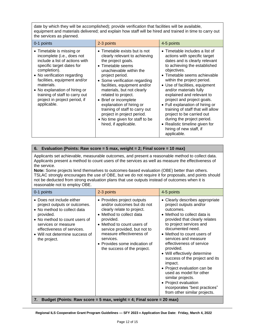date by which they will be accomplished); provide verification that facilities will be available, equipment and materials delivered; and explain how staff will be hired and trained in time to carry out the services as planned.

| 0-1 points                                                                                                                                                                                                                                                                                                                             | 2-3 points                                                                                                                                                                                                                                                                                                                                                                                                                                                     | 4-5 points                                                                                                                                                                                                                                                                                                                                                                                                                                                                                                                                                    |
|----------------------------------------------------------------------------------------------------------------------------------------------------------------------------------------------------------------------------------------------------------------------------------------------------------------------------------------|----------------------------------------------------------------------------------------------------------------------------------------------------------------------------------------------------------------------------------------------------------------------------------------------------------------------------------------------------------------------------------------------------------------------------------------------------------------|---------------------------------------------------------------------------------------------------------------------------------------------------------------------------------------------------------------------------------------------------------------------------------------------------------------------------------------------------------------------------------------------------------------------------------------------------------------------------------------------------------------------------------------------------------------|
| • Timetable is missing or<br>incomplete (i.e., does not<br>include a list of actions with<br>specific target dates for<br>completion).<br>• No verification regarding<br>facilities, equipment and/or<br>materials.<br>• No explanation of hiring or<br>training of staff to carry out<br>project in project period, if<br>applicable. | • Timetable exists but is not<br>clearly relevant to achieving<br>the project goals.<br>• Timetable seems<br>unachievable within the<br>project period.<br>• Some verification regarding<br>facilities, equipment and/or<br>materials, but not clearly<br>related to project.<br>• Brief or incomplete<br>explanation of hiring or<br>training of staff to carry out<br>project in project period.<br>• No time given for staff to be<br>hired, if applicable. | Timetable includes a list of<br>$\bullet$<br>actions with specific target<br>dates and is clearly relevant<br>to achieving the established<br>objectives.<br>• Timetable seems achievable<br>within the project period.<br>• Use of facilities, equipment<br>and/or materials fully<br>explained and relevant to<br>project and project goals.<br>• Full explanation of hiring or<br>training of staff that will allow<br>project to be carried out<br>during the project period.<br>• Realistic timeline given for<br>hiring of new staff, if<br>applicable. |

#### **6. Evaluation (Points: Raw score = 5 max, weight = 2; Final score = 10 max)**

Applicants set achievable, measurable outcomes, and present a reasonable method to collect data. Applicants present a method to count users of the services as well as measure the effectiveness of the service.

**Note:** Some projects lend themselves to outcomes-based evaluation (OBE) better than others. TSLAC strongly encourages the use of OBE, but we do not require it for proposals, and points should not be deducted from strong evaluation plans that use outputs instead of outcomes when it is reasonable not to employ OBE.

| 0-1 points                                                                                                                                                                                                                                     | 2-3 points                                                                                                                                                                                                                                                                                             | 4-5 points                                                                                                                                                                                                                                                                                                                                                                                                                                                                                                                                |
|------------------------------------------------------------------------------------------------------------------------------------------------------------------------------------------------------------------------------------------------|--------------------------------------------------------------------------------------------------------------------------------------------------------------------------------------------------------------------------------------------------------------------------------------------------------|-------------------------------------------------------------------------------------------------------------------------------------------------------------------------------------------------------------------------------------------------------------------------------------------------------------------------------------------------------------------------------------------------------------------------------------------------------------------------------------------------------------------------------------------|
| • Does not include either<br>project outputs or outcomes.<br>• No method to collect data<br>provided.<br>• No method to count users of<br>services or measure<br>effectiveness of services.<br>• Will not determine success of<br>the project. | • Provides project outputs<br>and/or outcomes but do not<br>clearly relate to project.<br>• Method to collect data<br>provided.<br>• Method to count users of<br>service provided, but not to<br>measure effectiveness of<br>services.<br>• Provides some indication of<br>the success of the project. | • Clearly describes appropriate<br>project outputs and/or<br>outcomes.<br>• Method to collect data is<br>provided that clearly relates<br>to project services and<br>documented need.<br>• Method to count users of<br>services and measure<br>effectiveness of service<br>provided.<br>• Will effectively determine<br>success of the project and its<br>impact.<br>• Project evaluation can be<br>used as model for other<br>similar projects.<br>• Project evaluation<br>incorporates "best practices"<br>from other similar projects. |
| <b>Rudget (Points: Raw score - 5 may weight - 1: Final score - 20 may)</b>                                                                                                                                                                     |                                                                                                                                                                                                                                                                                                        |                                                                                                                                                                                                                                                                                                                                                                                                                                                                                                                                           |

**7. Budget (Points: Raw score = 5 max, weight = 4; Final score = 20 max)**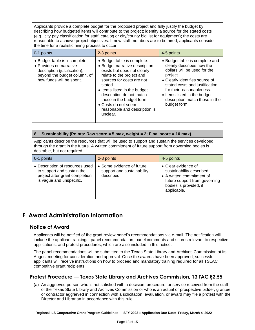Applicants provide a complete budget for the proposed project and fully justify the budget by describing how budgeted items will contribute to the project; identify a source for the stated costs (e.g., city pay classification for staff, catalog or city/county bid list for equipment); the costs are reasonable to achieve project objectives. If new staff members are to be hired, applicants consider the time for a realistic hiring process to occur.

| 0-1 points                                                                                                                                           | 2-3 points                                                                                                                                                                                                                                                                                                                     | 4-5 points                                                                                                                                                                                                                                                                                 |
|------------------------------------------------------------------------------------------------------------------------------------------------------|--------------------------------------------------------------------------------------------------------------------------------------------------------------------------------------------------------------------------------------------------------------------------------------------------------------------------------|--------------------------------------------------------------------------------------------------------------------------------------------------------------------------------------------------------------------------------------------------------------------------------------------|
| • Budget table is incomplete.<br>• Provides no narrative<br>description (justification),<br>beyond the budget column, of<br>how funds will be spent. | • Budget table is complete.<br>• Budget narrative description<br>exists but does not clearly<br>relate to the project and<br>sources for costs are not<br>stated.<br>• Items listed in the budget<br>description do not match<br>those in the budget form.<br>• Costs do not seem<br>reasonable and description is<br>unclear. | • Budget table is complete and<br>clearly describes how the<br>dollars will be used for the<br>project.<br>• Clearly identifies source of<br>stated costs and justification<br>for their reasonableness.<br>• Items listed in the budget<br>description match those in the<br>budget form. |

|                                                                                                                                                                                                                                       | 8. Sustainability (Points: Raw score = 5 max, weight = 2; Final score = 10 max) |                                                                                                                                                         |
|---------------------------------------------------------------------------------------------------------------------------------------------------------------------------------------------------------------------------------------|---------------------------------------------------------------------------------|---------------------------------------------------------------------------------------------------------------------------------------------------------|
| Applicants describe the resources that will be used to support and sustain the services developed<br>through the grant in the future. A written commitment of future support from governing bodies is<br>desirable, but not required. |                                                                                 |                                                                                                                                                         |
| 0-1 points                                                                                                                                                                                                                            | 2-3 points                                                                      | 4-5 points                                                                                                                                              |
| • Description of resources used<br>to support and sustain the<br>project after grant completion<br>is vague and unspecific.                                                                                                           | • Some evidence of future<br>support and sustainability<br>described.           | • Clear evidence of<br>sustainability described.<br>• A written commitment of<br>future support from governing<br>bodies is provided, if<br>applicable. |

# <span id="page-12-0"></span>**F. Award Administration Information**

## **Notice of Award**

Applicants will be notified of the grant review panel's recommendations via e-mail. The notification will include the applicant rankings, panel recommendation, panel comments and scores relevant to respective applications, and protest procedures, which are also included in this notice.

The panel recommendations will be submitted to the Texas State Library and Archives Commission at its August meeting for consideration and approval. Once the awards have been approved, successful applicants will receive instructions on how to proceed and mandatory training required for all TSLAC competitive grant recipients.

# **Protest Procedure — Texas State Library and Archives Commission, 13 TAC §2.55**

(a) An aggrieved person who is not satisfied with a decision, procedure, or service received from the staff of the Texas State Library and Archives Commission or who is an actual or prospective bidder, grantee, or contractor aggrieved in connection with a solicitation, evaluation, or award may file a protest with the Director and Librarian in accordance with this rule.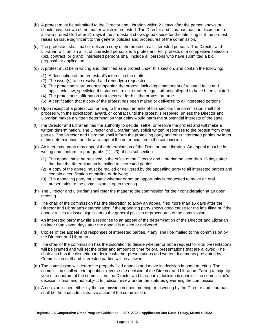- (b) A protest must be submitted to the Director and Librarian within 21 days after the person knows or should have known of the matter which is protested. The Director and Librarian has the discretion to allow a protest filed after 21 days if the protestant shows good cause for the late filing or if the protest raises an issue significant to the general policies and procedures of the commission.
- (c) The protestant shall mail or deliver a copy of the protest to all interested persons. The Director and Librarian will furnish a list of interested persons to a protestant. For protests of a competitive selection (bid, contract, or grant), interested persons shall include all persons who have submitted a bid, proposal, or application.
- (d) A protest must be in writing and identified as a protest under this section, and contain the following:
	- (1) A description of the protestant's interest in the matter
	- (2) The issue(s) to be resolved and remedy(s) requested
	- (3) The protestant's argument supporting the protest, including a statement of relevant facts and applicable law, specifying the statutes, rules, or other legal authority alleged to have been violated
	- (4) The protestant's affirmation that facts set forth in the protest are true
	- (5) A certification that a copy of the protest has been mailed or delivered to all interested persons
- (e) Upon receipt of a protest conforming to the requirements of this section, the commission shall not proceed with the solicitation, award, or contract until the protest is resolved, unless the Director and Librarian makes a written determination that delay would harm the substantial interests of the state.
- (f) The Director and Librarian has the authority to decide, settle, or resolve the protest and will make a written determination. The Director and Librarian may solicit written responses to the protest from other parties. The Director and Librarian shall inform the protesting party and other interested parties by letter of his determination, and how to appeal the determination to the commission.
- (g) An interested party may appeal the determination of the Director and Librarian. An appeal must be in writing and conform to paragraphs (1) - (3) of this subsection:
	- (1) The appeal must be received in the office of the Director and Librarian no later than 15 days after the date the determination is mailed to interested parties;
	- (2) A copy of the appeal must be mailed or delivered by the appealing party to all interested parties and contain a certification of mailing or delivery;
	- (3) The appealing party must state whether or not an opportunity is requested to make an oral presentation to the commission in open meeting.
- (h) The Director and Librarian shall refer the matter to the commission for their consideration at an open meeting.
- (i) The chair of the commission has the discretion to allow an appeal filed more than 15 days after the Director and Librarian's determination if the appealing party shows good cause for the late filing or if the appeal raises an issue significant to the general policies or procedures of the commission.
- (j) An interested party may file a response to an appeal of the determination of the Director and Librarian no later than seven days after the appeal is mailed or delivered.
- (k) Copies of the appeal and responses of interested parties, if any, shall be mailed to the commission by the Director and Librarian.
- (l) The chair of the commission has the discretion to decide whether or not a request for oral presentations will be granted and will set the order and amount of time for oral presentations that are allowed. The chair also has the discretion to decide whether presentations and written documents presented by Commission staff and interested parties will be allowed.
- (m) The commission will determine properly filed appeals and make its decision in open meeting. The commission shall vote to uphold or reverse the decision of the Director and Librarian. Failing a majority vote of a quorum of the commission, the Director and Librarian's decision is upheld. The commission's decision is final and not subject to judicial review under the statutes governing the commission.
- (n) A decision issued either by the commission in open meeting or in writing by the Director and Librarian shall be the final administrative action of the commission.